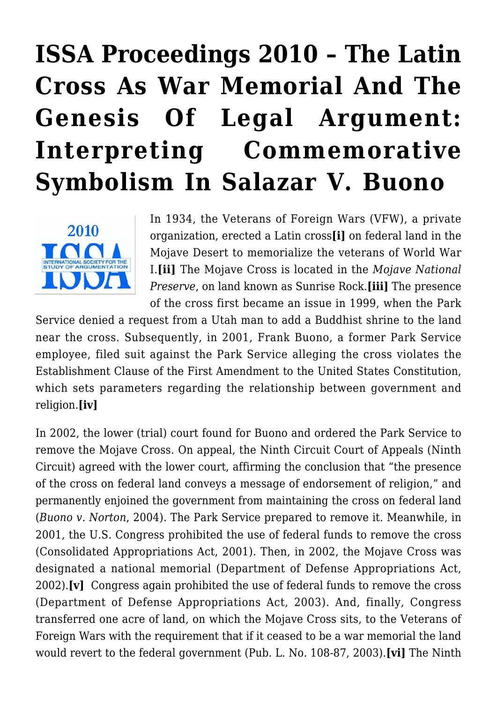# **[ISSA Proceedings 2010 – The Latin](https://rozenbergquarterly.com/issa-proceedings-2010-the-latin-cross-as-war-memorial-and-the-genesis-of-legal-argument-interpreting-commemorative-symbolism-in-salazar-v-buono/) [Cross As War Memorial And The](https://rozenbergquarterly.com/issa-proceedings-2010-the-latin-cross-as-war-memorial-and-the-genesis-of-legal-argument-interpreting-commemorative-symbolism-in-salazar-v-buono/) [Genesis Of Legal Argument:](https://rozenbergquarterly.com/issa-proceedings-2010-the-latin-cross-as-war-memorial-and-the-genesis-of-legal-argument-interpreting-commemorative-symbolism-in-salazar-v-buono/) [Interpreting Commemorative](https://rozenbergquarterly.com/issa-proceedings-2010-the-latin-cross-as-war-memorial-and-the-genesis-of-legal-argument-interpreting-commemorative-symbolism-in-salazar-v-buono/) [Symbolism In Salazar V. Buono](https://rozenbergquarterly.com/issa-proceedings-2010-the-latin-cross-as-war-memorial-and-the-genesis-of-legal-argument-interpreting-commemorative-symbolism-in-salazar-v-buono/)**



In 1934, the Veterans of Foreign Wars (VFW), a private organization, erected a Latin cross**[i]** on federal land in the Mojave Desert to memorialize the veterans of World War I.**[ii]** The Mojave Cross is located in the *Mojave National Preserve*, on land known as Sunrise Rock.**[iii]** The presence of the cross first became an issue in 1999, when the Park

Service denied a request from a Utah man to add a Buddhist shrine to the land near the cross. Subsequently, in 2001, Frank Buono, a former Park Service employee, filed suit against the Park Service alleging the cross violates the Establishment Clause of the First Amendment to the United States Constitution, which sets parameters regarding the relationship between government and religion.**[iv]**

In 2002, the lower (trial) court found for Buono and ordered the Park Service to remove the Mojave Cross. On appeal, the Ninth Circuit Court of Appeals (Ninth Circuit) agreed with the lower court, affirming the conclusion that "the presence of the cross on federal land conveys a message of endorsement of religion," and permanently enjoined the government from maintaining the cross on federal land (*Buono v. Norton*, 2004). The Park Service prepared to remove it. Meanwhile, in 2001, the U.S. Congress prohibited the use of federal funds to remove the cross (Consolidated Appropriations Act, 2001). Then, in 2002, the Mojave Cross was designated a national memorial (Department of Defense Appropriations Act, 2002).**[v]** Congress again prohibited the use of federal funds to remove the cross (Department of Defense Appropriations Act, 2003). And, finally, Congress transferred one acre of land, on which the Mojave Cross sits, to the Veterans of Foreign Wars with the requirement that if it ceased to be a war memorial the land would revert to the federal government (Pub. L. No. 108-87, 2003).**[vi]** The Ninth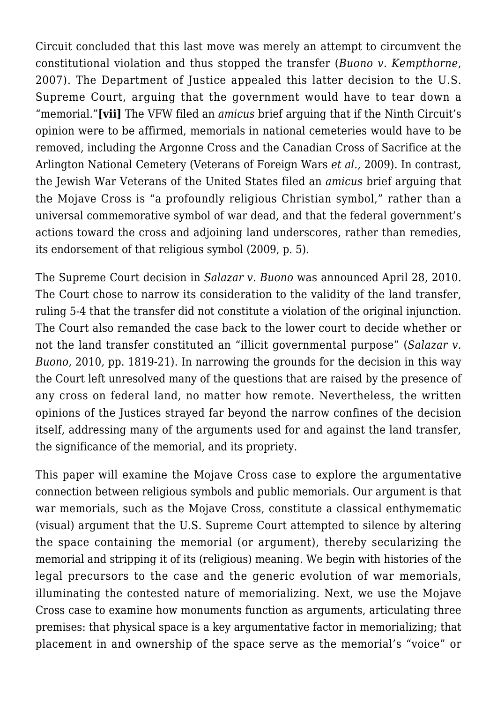Circuit concluded that this last move was merely an attempt to circumvent the constitutional violation and thus stopped the transfer (*Buono v. Kempthorne*, 2007). The Department of Justice appealed this latter decision to the U.S. Supreme Court, arguing that the government would have to tear down a "memorial."**[vii]** The VFW filed an *amicus* brief arguing that if the Ninth Circuit's opinion were to be affirmed, memorials in national cemeteries would have to be removed, including the Argonne Cross and the Canadian Cross of Sacrifice at the Arlington National Cemetery (Veterans of Foreign Wars *et al.,* 2009). In contrast, the Jewish War Veterans of the United States filed an *amicus* brief arguing that the Mojave Cross is "a profoundly religious Christian symbol," rather than a universal commemorative symbol of war dead, and that the federal government's actions toward the cross and adjoining land underscores, rather than remedies, its endorsement of that religious symbol (2009, p. 5).

The Supreme Court decision in *Salazar v. Buono* was announced April 28, 2010. The Court chose to narrow its consideration to the validity of the land transfer, ruling 5-4 that the transfer did not constitute a violation of the original injunction. The Court also remanded the case back to the lower court to decide whether or not the land transfer constituted an "illicit governmental purpose" (*Salazar v. Buono,* 2010*,* pp. 1819-21). In narrowing the grounds for the decision in this way the Court left unresolved many of the questions that are raised by the presence of any cross on federal land, no matter how remote. Nevertheless, the written opinions of the Justices strayed far beyond the narrow confines of the decision itself, addressing many of the arguments used for and against the land transfer, the significance of the memorial, and its propriety.

This paper will examine the Mojave Cross case to explore the argumentative connection between religious symbols and public memorials. Our argument is that war memorials, such as the Mojave Cross, constitute a classical enthymematic (visual) argument that the U.S. Supreme Court attempted to silence by altering the space containing the memorial (or argument), thereby secularizing the memorial and stripping it of its (religious) meaning. We begin with histories of the legal precursors to the case and the generic evolution of war memorials, illuminating the contested nature of memorializing. Next, we use the Mojave Cross case to examine how monuments function as arguments, articulating three premises: that physical space is a key argumentative factor in memorializing; that placement in and ownership of the space serve as the memorial's "voice" or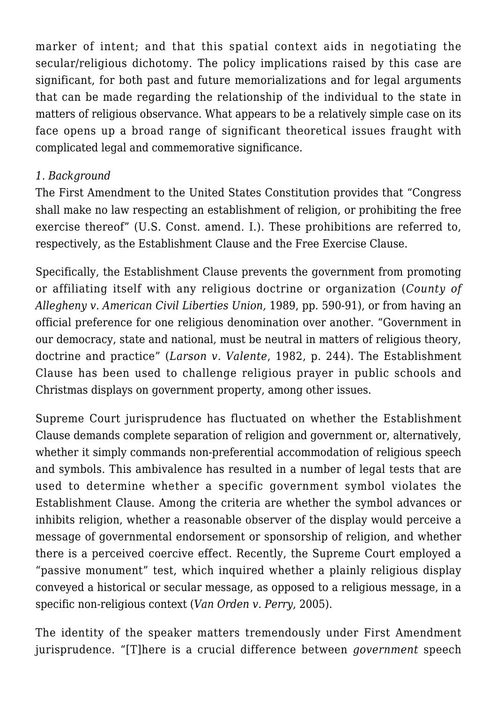marker of intent; and that this spatial context aids in negotiating the secular/religious dichotomy. The policy implications raised by this case are significant, for both past and future memorializations and for legal arguments that can be made regarding the relationship of the individual to the state in matters of religious observance. What appears to be a relatively simple case on its face opens up a broad range of significant theoretical issues fraught with complicated legal and commemorative significance.

#### *1. Background*

The First Amendment to the United States Constitution provides that "Congress shall make no law respecting an establishment of religion, or prohibiting the free exercise thereof" (U.S. Const. amend. I.). These prohibitions are referred to, respectively, as the Establishment Clause and the Free Exercise Clause.

Specifically, the Establishment Clause prevents the government from promoting or affiliating itself with any religious doctrine or organization (*County of Allegheny v. American Civil Liberties Union,* 1989, pp. 590-91), or from having an official preference for one religious denomination over another. "Government in our democracy, state and national, must be neutral in matters of religious theory, doctrine and practice" (*Larson v. Valente*, 1982, p. 244). The Establishment Clause has been used to challenge religious prayer in public schools and Christmas displays on government property, among other issues.

Supreme Court jurisprudence has fluctuated on whether the Establishment Clause demands complete separation of religion and government or, alternatively, whether it simply commands non-preferential accommodation of religious speech and symbols. This ambivalence has resulted in a number of legal tests that are used to determine whether a specific government symbol violates the Establishment Clause. Among the criteria are whether the symbol advances or inhibits religion, whether a reasonable observer of the display would perceive a message of governmental endorsement or sponsorship of religion, and whether there is a perceived coercive effect. Recently, the Supreme Court employed a "passive monument" test, which inquired whether a plainly religious display conveyed a historical or secular message, as opposed to a religious message, in a specific non-religious context (*Van Orden v. Perry*, 2005).

The identity of the speaker matters tremendously under First Amendment jurisprudence. "[T]here is a crucial difference between *government* speech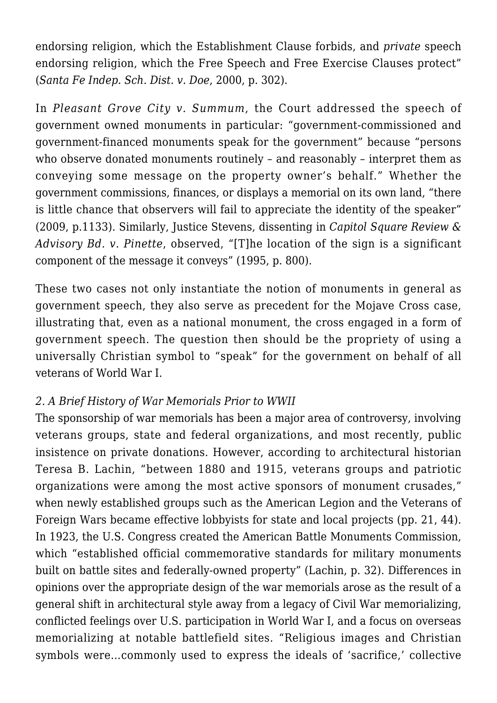endorsing religion, which the Establishment Clause forbids, and *private* speech endorsing religion, which the Free Speech and Free Exercise Clauses protect" (*Santa Fe Indep. Sch. Dist. v. Doe*, 2000, p. 302).

In *Pleasant Grove City v. Summum*, the Court addressed the speech of government owned monuments in particular: "government-commissioned and government-financed monuments speak for the government" because "persons who observe donated monuments routinely – and reasonably – interpret them as conveying some message on the property owner's behalf." Whether the government commissions, finances, or displays a memorial on its own land, "there is little chance that observers will fail to appreciate the identity of the speaker" (2009, p.1133). Similarly, Justice Stevens, dissenting in *Capitol Square Review & Advisory Bd. v. Pinette*, observed, "[T]he location of the sign is a significant component of the message it conveys" (1995, p. 800).

These two cases not only instantiate the notion of monuments in general as government speech, they also serve as precedent for the Mojave Cross case, illustrating that, even as a national monument, the cross engaged in a form of government speech. The question then should be the propriety of using a universally Christian symbol to "speak" for the government on behalf of all veterans of World War I.

## *2. A Brief History of War Memorials Prior to WWII*

The sponsorship of war memorials has been a major area of controversy, involving veterans groups, state and federal organizations, and most recently, public insistence on private donations. However, according to architectural historian Teresa B. Lachin, "between 1880 and 1915, veterans groups and patriotic organizations were among the most active sponsors of monument crusades," when newly established groups such as the American Legion and the Veterans of Foreign Wars became effective lobbyists for state and local projects (pp. 21, 44). In 1923, the U.S. Congress created the American Battle Monuments Commission, which "established official commemorative standards for military monuments built on battle sites and federally-owned property" (Lachin, p. 32). Differences in opinions over the appropriate design of the war memorials arose as the result of a general shift in architectural style away from a legacy of Civil War memorializing, conflicted feelings over U.S. participation in World War I, and a focus on overseas memorializing at notable battlefield sites. "Religious images and Christian symbols were…commonly used to express the ideals of 'sacrifice,' collective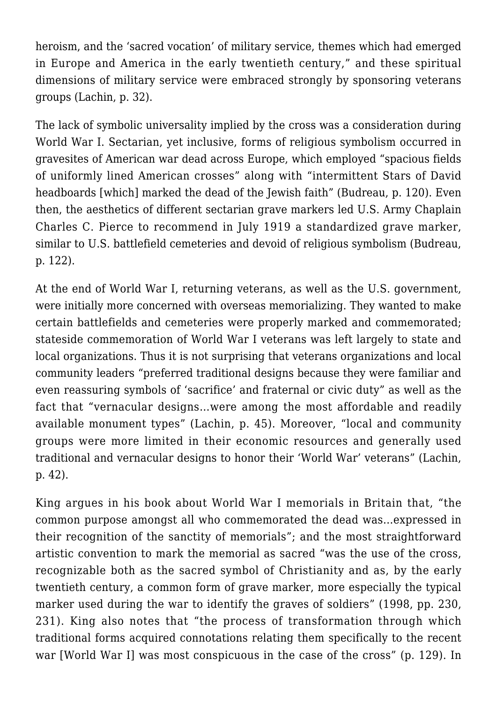heroism, and the 'sacred vocation' of military service, themes which had emerged in Europe and America in the early twentieth century," and these spiritual dimensions of military service were embraced strongly by sponsoring veterans groups (Lachin, p. 32).

The lack of symbolic universality implied by the cross was a consideration during World War I. Sectarian, yet inclusive, forms of religious symbolism occurred in gravesites of American war dead across Europe, which employed "spacious fields of uniformly lined American crosses" along with "intermittent Stars of David headboards [which] marked the dead of the Jewish faith" (Budreau, p. 120). Even then, the aesthetics of different sectarian grave markers led U.S. Army Chaplain Charles C. Pierce to recommend in July 1919 a standardized grave marker, similar to U.S. battlefield cemeteries and devoid of religious symbolism (Budreau, p. 122).

At the end of World War I, returning veterans, as well as the U.S. government, were initially more concerned with overseas memorializing. They wanted to make certain battlefields and cemeteries were properly marked and commemorated; stateside commemoration of World War I veterans was left largely to state and local organizations. Thus it is not surprising that veterans organizations and local community leaders "preferred traditional designs because they were familiar and even reassuring symbols of 'sacrifice' and fraternal or civic duty" as well as the fact that "vernacular designs…were among the most affordable and readily available monument types" (Lachin, p. 45). Moreover, "local and community groups were more limited in their economic resources and generally used traditional and vernacular designs to honor their 'World War' veterans" (Lachin, p. 42).

King argues in his book about World War I memorials in Britain that, "the common purpose amongst all who commemorated the dead was…expressed in their recognition of the sanctity of memorials"; and the most straightforward artistic convention to mark the memorial as sacred "was the use of the cross, recognizable both as the sacred symbol of Christianity and as, by the early twentieth century, a common form of grave marker, more especially the typical marker used during the war to identify the graves of soldiers" (1998, pp. 230, 231). King also notes that "the process of transformation through which traditional forms acquired connotations relating them specifically to the recent war [World War I] was most conspicuous in the case of the cross" (p. 129). In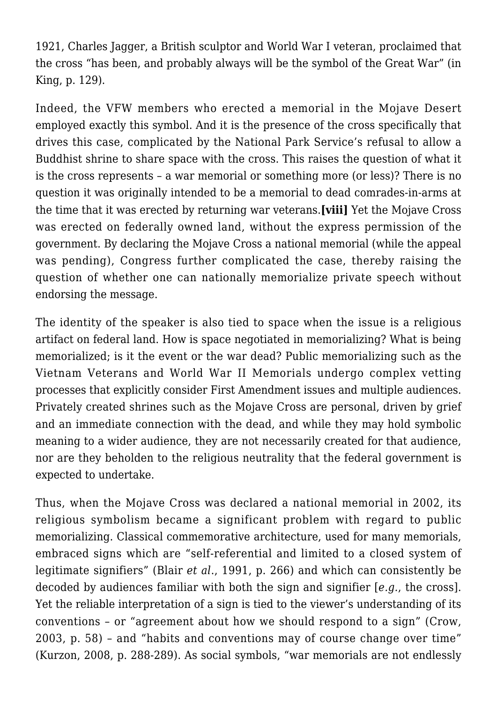1921, Charles Jagger, a British sculptor and World War I veteran, proclaimed that the cross "has been, and probably always will be the symbol of the Great War" (in King, p. 129).

Indeed, the VFW members who erected a memorial in the Mojave Desert employed exactly this symbol. And it is the presence of the cross specifically that drives this case, complicated by the National Park Service's refusal to allow a Buddhist shrine to share space with the cross. This raises the question of what it is the cross represents – a war memorial or something more (or less)? There is no question it was originally intended to be a memorial to dead comrades-in-arms at the time that it was erected by returning war veterans.**[viii]** Yet the Mojave Cross was erected on federally owned land, without the express permission of the government. By declaring the Mojave Cross a national memorial (while the appeal was pending), Congress further complicated the case, thereby raising the question of whether one can nationally memorialize private speech without endorsing the message.

The identity of the speaker is also tied to space when the issue is a religious artifact on federal land. How is space negotiated in memorializing? What is being memorialized; is it the event or the war dead? Public memorializing such as the Vietnam Veterans and World War II Memorials undergo complex vetting processes that explicitly consider First Amendment issues and multiple audiences. Privately created shrines such as the Mojave Cross are personal, driven by grief and an immediate connection with the dead, and while they may hold symbolic meaning to a wider audience, they are not necessarily created for that audience, nor are they beholden to the religious neutrality that the federal government is expected to undertake.

Thus, when the Mojave Cross was declared a national memorial in 2002, its religious symbolism became a significant problem with regard to public memorializing. Classical commemorative architecture, used for many memorials, embraced signs which are "self-referential and limited to a closed system of legitimate signifiers" (Blair *et al*., 1991, p. 266) and which can consistently be decoded by audiences familiar with both the sign and signifier [*e.g.*, the cross]. Yet the reliable interpretation of a sign is tied to the viewer's understanding of its conventions – or "agreement about how we should respond to a sign" (Crow, 2003, p. 58) – and "habits and conventions may of course change over time" (Kurzon, 2008, p. 288-289). As social symbols, "war memorials are not endlessly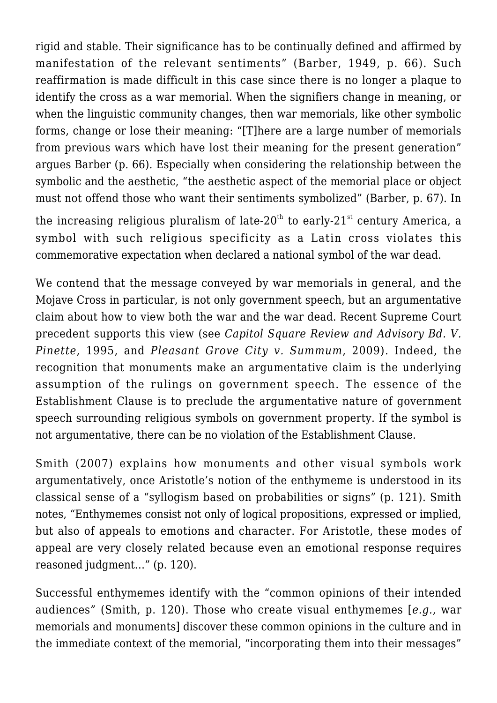rigid and stable. Their significance has to be continually defined and affirmed by manifestation of the relevant sentiments" (Barber, 1949, p. 66). Such reaffirmation is made difficult in this case since there is no longer a plaque to identify the cross as a war memorial. When the signifiers change in meaning, or when the linguistic community changes, then war memorials, like other symbolic forms, change or lose their meaning: "[T]here are a large number of memorials from previous wars which have lost their meaning for the present generation" argues Barber (p. 66). Especially when considering the relationship between the symbolic and the aesthetic, "the aesthetic aspect of the memorial place or object must not offend those who want their sentiments symbolized" (Barber, p. 67). In

the increasing religious pluralism of late-20<sup>th</sup> to early-21<sup>st</sup> century America, a symbol with such religious specificity as a Latin cross violates this commemorative expectation when declared a national symbol of the war dead.

We contend that the message conveyed by war memorials in general, and the Mojave Cross in particular, is not only government speech, but an argumentative claim about how to view both the war and the war dead. Recent Supreme Court precedent supports this view (see *Capitol Square Review and Advisory Bd. V. Pinette*, 1995, and *Pleasant Grove City v. Summum*, 2009). Indeed, the recognition that monuments make an argumentative claim is the underlying assumption of the rulings on government speech. The essence of the Establishment Clause is to preclude the argumentative nature of government speech surrounding religious symbols on government property. If the symbol is not argumentative, there can be no violation of the Establishment Clause.

Smith (2007) explains how monuments and other visual symbols work argumentatively, once Aristotle's notion of the enthymeme is understood in its classical sense of a "syllogism based on probabilities or signs" (p. 121). Smith notes, "Enthymemes consist not only of logical propositions, expressed or implied, but also of appeals to emotions and character. For Aristotle, these modes of appeal are very closely related because even an emotional response requires reasoned judgment…" (p. 120).

Successful enthymemes identify with the "common opinions of their intended audiences" (Smith, p. 120). Those who create visual enthymemes [*e.g.,* war memorials and monuments] discover these common opinions in the culture and in the immediate context of the memorial, "incorporating them into their messages"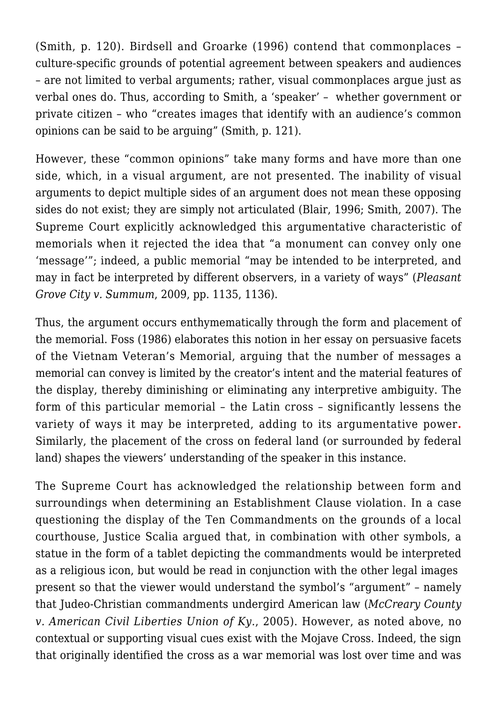(Smith, p. 120). Birdsell and Groarke (1996) contend that commonplaces – culture-specific grounds of potential agreement between speakers and audiences – are not limited to verbal arguments; rather, visual commonplaces argue just as verbal ones do. Thus, according to Smith, a 'speaker' – whether government or private citizen – who "creates images that identify with an audience's common opinions can be said to be arguing" (Smith, p. 121).

However, these "common opinions" take many forms and have more than one side, which, in a visual argument, are not presented. The inability of visual arguments to depict multiple sides of an argument does not mean these opposing sides do not exist; they are simply not articulated (Blair, 1996; Smith, 2007). The Supreme Court explicitly acknowledged this argumentative characteristic of memorials when it rejected the idea that "a monument can convey only one 'message'"; indeed, a public memorial "may be intended to be interpreted, and may in fact be interpreted by different observers, in a variety of ways" (*Pleasant Grove City v. Summum*, 2009, pp. 1135, 1136).

Thus, the argument occurs enthymematically through the form and placement of the memorial. Foss (1986) elaborates this notion in her essay on persuasive facets of the Vietnam Veteran's Memorial, arguing that the number of messages a memorial can convey is limited by the creator's intent and the material features of the display, thereby diminishing or eliminating any interpretive ambiguity. The form of this particular memorial – the Latin cross – significantly lessens the variety of ways it may be interpreted, adding to its argumentative power**.** Similarly, the placement of the cross on federal land (or surrounded by federal land) shapes the viewers' understanding of the speaker in this instance.

The Supreme Court has acknowledged the relationship between form and surroundings when determining an Establishment Clause violation. In a case questioning the display of the Ten Commandments on the grounds of a local courthouse, Justice Scalia argued that, in combination with other symbols, a statue in the form of a tablet depicting the commandments would be interpreted as a religious icon, but would be read in conjunction with the other legal images present so that the viewer would understand the symbol's "argument" – namely that Judeo-Christian commandments undergird American law (*McCreary County v. American Civil Liberties Union of Ky.*, 2005). However, as noted above, no contextual or supporting visual cues exist with the Mojave Cross. Indeed, the sign that originally identified the cross as a war memorial was lost over time and was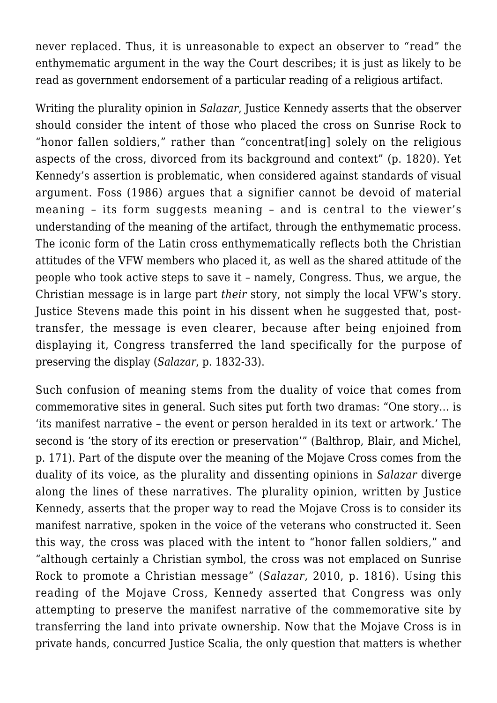never replaced. Thus, it is unreasonable to expect an observer to "read" the enthymematic argument in the way the Court describes; it is just as likely to be read as government endorsement of a particular reading of a religious artifact.

Writing the plurality opinion in *Salazar*, Justice Kennedy asserts that the observer should consider the intent of those who placed the cross on Sunrise Rock to "honor fallen soldiers," rather than "concentrat[ing] solely on the religious aspects of the cross, divorced from its background and context" (p. 1820). Yet Kennedy's assertion is problematic, when considered against standards of visual argument. Foss (1986) argues that a signifier cannot be devoid of material meaning – its form suggests meaning – and is central to the viewer's understanding of the meaning of the artifact, through the enthymematic process. The iconic form of the Latin cross enthymematically reflects both the Christian attitudes of the VFW members who placed it, as well as the shared attitude of the people who took active steps to save it – namely, Congress. Thus, we argue, the Christian message is in large part *their* story, not simply the local VFW's story. Justice Stevens made this point in his dissent when he suggested that, posttransfer, the message is even clearer, because after being enjoined from displaying it, Congress transferred the land specifically for the purpose of preserving the display (*Salazar*, p. 1832-33).

Such confusion of meaning stems from the duality of voice that comes from commemorative sites in general. Such sites put forth two dramas: "One story… is 'its manifest narrative – the event or person heralded in its text or artwork.' The second is 'the story of its erection or preservation'" (Balthrop, Blair, and Michel, p. 171). Part of the dispute over the meaning of the Mojave Cross comes from the duality of its voice, as the plurality and dissenting opinions in *Salazar* diverge along the lines of these narratives. The plurality opinion, written by Justice Kennedy, asserts that the proper way to read the Mojave Cross is to consider its manifest narrative, spoken in the voice of the veterans who constructed it. Seen this way, the cross was placed with the intent to "honor fallen soldiers," and "although certainly a Christian symbol, the cross was not emplaced on Sunrise Rock to promote a Christian message" (*Salazar*, 2010, p. 1816). Using this reading of the Mojave Cross, Kennedy asserted that Congress was only attempting to preserve the manifest narrative of the commemorative site by transferring the land into private ownership. Now that the Mojave Cross is in private hands, concurred Justice Scalia, the only question that matters is whether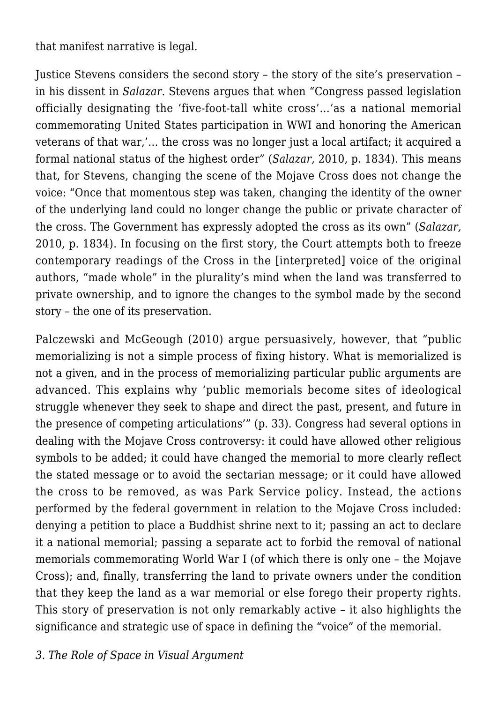that manifest narrative is legal.

Justice Stevens considers the second story – the story of the site's preservation – in his dissent in *Salazar*. Stevens argues that when "Congress passed legislation officially designating the 'five-foot-tall white cross'…'as a national memorial commemorating United States participation in WWI and honoring the American veterans of that war,'… the cross was no longer just a local artifact; it acquired a formal national status of the highest order" (*Salazar,* 2010, p. 1834). This means that, for Stevens, changing the scene of the Mojave Cross does not change the voice: "Once that momentous step was taken, changing the identity of the owner of the underlying land could no longer change the public or private character of the cross. The Government has expressly adopted the cross as its own" (*Salazar,* 2010, p. 1834). In focusing on the first story, the Court attempts both to freeze contemporary readings of the Cross in the [interpreted] voice of the original authors, "made whole" in the plurality's mind when the land was transferred to private ownership, and to ignore the changes to the symbol made by the second story – the one of its preservation.

Palczewski and McGeough (2010) argue persuasively, however, that "public memorializing is not a simple process of fixing history. What is memorialized is not a given, and in the process of memorializing particular public arguments are advanced. This explains why 'public memorials become sites of ideological struggle whenever they seek to shape and direct the past, present, and future in the presence of competing articulations'" (p. 33). Congress had several options in dealing with the Mojave Cross controversy: it could have allowed other religious symbols to be added; it could have changed the memorial to more clearly reflect the stated message or to avoid the sectarian message; or it could have allowed the cross to be removed, as was Park Service policy. Instead, the actions performed by the federal government in relation to the Mojave Cross included: denying a petition to place a Buddhist shrine next to it; passing an act to declare it a national memorial; passing a separate act to forbid the removal of national memorials commemorating World War I (of which there is only one – the Mojave Cross); and, finally, transferring the land to private owners under the condition that they keep the land as a war memorial or else forego their property rights. This story of preservation is not only remarkably active – it also highlights the significance and strategic use of space in defining the "voice" of the memorial.

*3. The Role of Space in Visual Argument*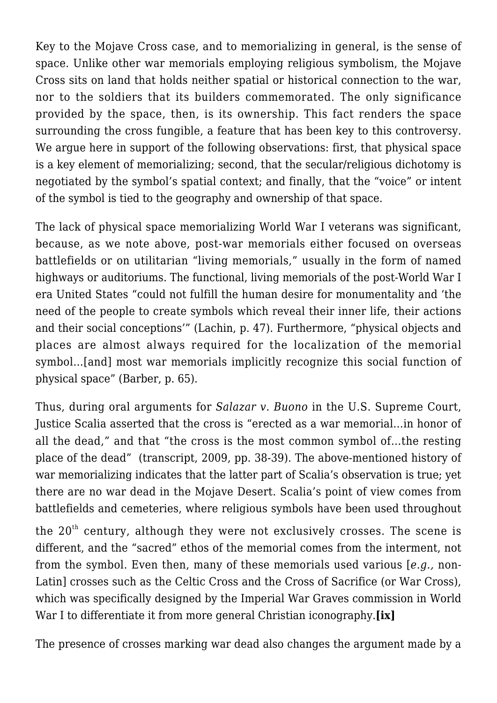Key to the Mojave Cross case, and to memorializing in general, is the sense of space. Unlike other war memorials employing religious symbolism, the Mojave Cross sits on land that holds neither spatial or historical connection to the war, nor to the soldiers that its builders commemorated. The only significance provided by the space, then, is its ownership. This fact renders the space surrounding the cross fungible, a feature that has been key to this controversy. We argue here in support of the following observations: first, that physical space is a key element of memorializing; second, that the secular/religious dichotomy is negotiated by the symbol's spatial context; and finally, that the "voice" or intent of the symbol is tied to the geography and ownership of that space.

The lack of physical space memorializing World War I veterans was significant, because, as we note above, post-war memorials either focused on overseas battlefields or on utilitarian "living memorials," usually in the form of named highways or auditoriums. The functional, living memorials of the post-World War I era United States "could not fulfill the human desire for monumentality and 'the need of the people to create symbols which reveal their inner life, their actions and their social conceptions'" (Lachin, p. 47). Furthermore, "physical objects and places are almost always required for the localization of the memorial symbol…[and] most war memorials implicitly recognize this social function of physical space" (Barber, p. 65).

Thus, during oral arguments for *Salazar v. Buono* in the U.S. Supreme Court, Justice Scalia asserted that the cross is "erected as a war memorial…in honor of all the dead," and that "the cross is the most common symbol of…the resting place of the dead" (transcript, 2009, pp. 38-39). The above-mentioned history of war memorializing indicates that the latter part of Scalia's observation is true; yet there are no war dead in the Mojave Desert. Scalia's point of view comes from battlefields and cemeteries, where religious symbols have been used throughout

the  $20<sup>th</sup>$  century, although they were not exclusively crosses. The scene is different, and the "sacred" ethos of the memorial comes from the interment, not from the symbol. Even then, many of these memorials used various [*e.g.,* non-Latin] crosses such as the Celtic Cross and the Cross of Sacrifice (or War Cross), which was specifically designed by the Imperial War Graves commission in World War I to differentiate it from more general Christian iconography.**[ix]**

The presence of crosses marking war dead also changes the argument made by a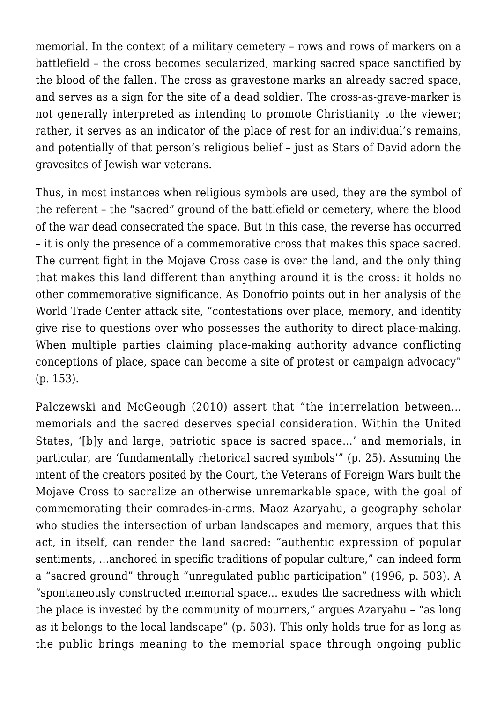memorial. In the context of a military cemetery – rows and rows of markers on a battlefield – the cross becomes secularized, marking sacred space sanctified by the blood of the fallen. The cross as gravestone marks an already sacred space, and serves as a sign for the site of a dead soldier. The cross-as-grave-marker is not generally interpreted as intending to promote Christianity to the viewer; rather, it serves as an indicator of the place of rest for an individual's remains, and potentially of that person's religious belief – just as Stars of David adorn the gravesites of Jewish war veterans.

Thus, in most instances when religious symbols are used, they are the symbol of the referent – the "sacred" ground of the battlefield or cemetery, where the blood of the war dead consecrated the space. But in this case, the reverse has occurred – it is only the presence of a commemorative cross that makes this space sacred. The current fight in the Mojave Cross case is over the land, and the only thing that makes this land different than anything around it is the cross: it holds no other commemorative significance. As Donofrio points out in her analysis of the World Trade Center attack site, "contestations over place, memory, and identity give rise to questions over who possesses the authority to direct place-making. When multiple parties claiming place-making authority advance conflicting conceptions of place, space can become a site of protest or campaign advocacy" (p. 153).

Palczewski and McGeough (2010) assert that "the interrelation between… memorials and the sacred deserves special consideration. Within the United States, '[b]y and large, patriotic space is sacred space…' and memorials, in particular, are 'fundamentally rhetorical sacred symbols'" (p. 25). Assuming the intent of the creators posited by the Court, the Veterans of Foreign Wars built the Mojave Cross to sacralize an otherwise unremarkable space, with the goal of commemorating their comrades-in-arms. Maoz Azaryahu, a geography scholar who studies the intersection of urban landscapes and memory, argues that this act, in itself, can render the land sacred: "authentic expression of popular sentiments, …anchored in specific traditions of popular culture," can indeed form a "sacred ground" through "unregulated public participation" (1996, p. 503). A "spontaneously constructed memorial space… exudes the sacredness with which the place is invested by the community of mourners," argues Azaryahu – "as long as it belongs to the local landscape" (p. 503). This only holds true for as long as the public brings meaning to the memorial space through ongoing public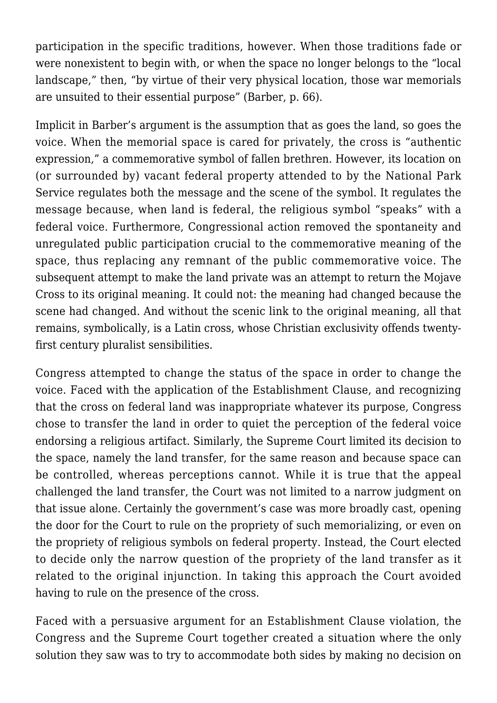participation in the specific traditions, however. When those traditions fade or were nonexistent to begin with, or when the space no longer belongs to the "local landscape," then, "by virtue of their very physical location, those war memorials are unsuited to their essential purpose" (Barber, p. 66).

Implicit in Barber's argument is the assumption that as goes the land, so goes the voice. When the memorial space is cared for privately, the cross is "authentic expression," a commemorative symbol of fallen brethren. However, its location on (or surrounded by) vacant federal property attended to by the National Park Service regulates both the message and the scene of the symbol. It regulates the message because, when land is federal, the religious symbol "speaks" with a federal voice. Furthermore, Congressional action removed the spontaneity and unregulated public participation crucial to the commemorative meaning of the space, thus replacing any remnant of the public commemorative voice. The subsequent attempt to make the land private was an attempt to return the Mojave Cross to its original meaning. It could not: the meaning had changed because the scene had changed. And without the scenic link to the original meaning, all that remains, symbolically, is a Latin cross, whose Christian exclusivity offends twentyfirst century pluralist sensibilities.

Congress attempted to change the status of the space in order to change the voice. Faced with the application of the Establishment Clause, and recognizing that the cross on federal land was inappropriate whatever its purpose, Congress chose to transfer the land in order to quiet the perception of the federal voice endorsing a religious artifact. Similarly, the Supreme Court limited its decision to the space, namely the land transfer, for the same reason and because space can be controlled, whereas perceptions cannot. While it is true that the appeal challenged the land transfer, the Court was not limited to a narrow judgment on that issue alone. Certainly the government's case was more broadly cast, opening the door for the Court to rule on the propriety of such memorializing, or even on the propriety of religious symbols on federal property. Instead, the Court elected to decide only the narrow question of the propriety of the land transfer as it related to the original injunction. In taking this approach the Court avoided having to rule on the presence of the cross.

Faced with a persuasive argument for an Establishment Clause violation, the Congress and the Supreme Court together created a situation where the only solution they saw was to try to accommodate both sides by making no decision on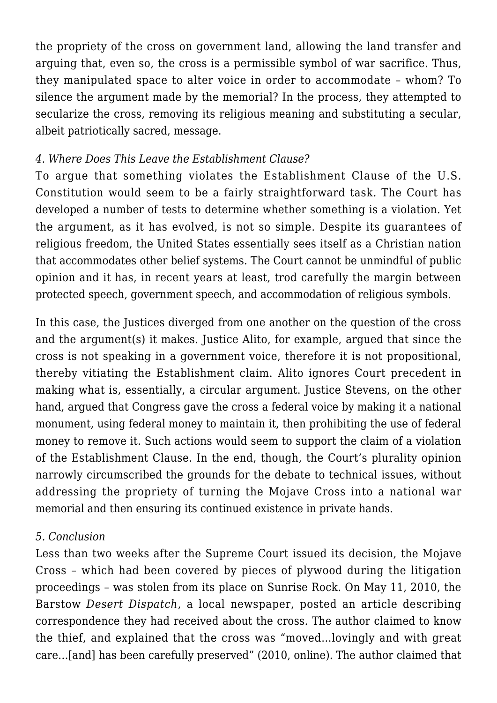the propriety of the cross on government land, allowing the land transfer and arguing that, even so, the cross is a permissible symbol of war sacrifice. Thus, they manipulated space to alter voice in order to accommodate – whom? To silence the argument made by the memorial? In the process, they attempted to secularize the cross, removing its religious meaning and substituting a secular, albeit patriotically sacred, message.

# *4. Where Does This Leave the Establishment Clause?*

To argue that something violates the Establishment Clause of the U.S. Constitution would seem to be a fairly straightforward task. The Court has developed a number of tests to determine whether something is a violation. Yet the argument, as it has evolved, is not so simple. Despite its guarantees of religious freedom, the United States essentially sees itself as a Christian nation that accommodates other belief systems. The Court cannot be unmindful of public opinion and it has, in recent years at least, trod carefully the margin between protected speech, government speech, and accommodation of religious symbols.

In this case, the Justices diverged from one another on the question of the cross and the argument(s) it makes. Justice Alito, for example, argued that since the cross is not speaking in a government voice, therefore it is not propositional, thereby vitiating the Establishment claim. Alito ignores Court precedent in making what is, essentially, a circular argument. Justice Stevens, on the other hand, argued that Congress gave the cross a federal voice by making it a national monument, using federal money to maintain it, then prohibiting the use of federal money to remove it. Such actions would seem to support the claim of a violation of the Establishment Clause. In the end, though, the Court's plurality opinion narrowly circumscribed the grounds for the debate to technical issues, without addressing the propriety of turning the Mojave Cross into a national war memorial and then ensuring its continued existence in private hands.

## *5. Conclusion*

Less than two weeks after the Supreme Court issued its decision, the Mojave Cross – which had been covered by pieces of plywood during the litigation proceedings – was stolen from its place on Sunrise Rock. On May 11, 2010, the Barstow *Desert Dispatch*, a local newspaper, posted an article describing correspondence they had received about the cross. The author claimed to know the thief, and explained that the cross was "moved…lovingly and with great care…[and] has been carefully preserved" (2010, online). The author claimed that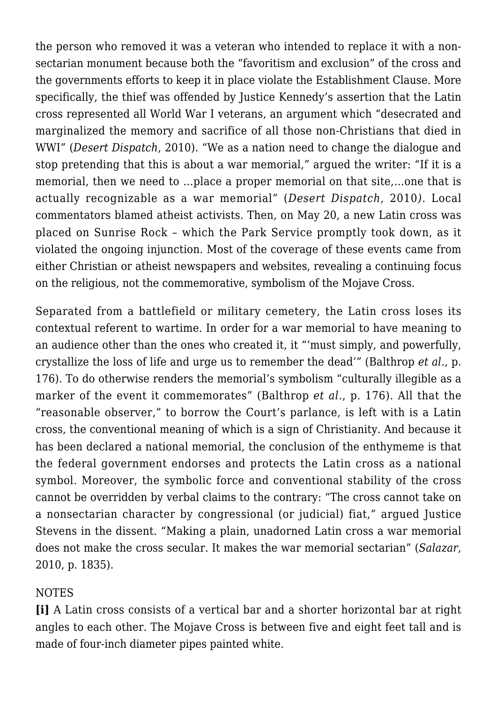the person who removed it was a veteran who intended to replace it with a nonsectarian monument because both the "favoritism and exclusion" of the cross and the governments efforts to keep it in place violate the Establishment Clause. More specifically, the thief was offended by Justice Kennedy's assertion that the Latin cross represented all World War I veterans, an argument which "desecrated and marginalized the memory and sacrifice of all those non-Christians that died in WWI" (*Desert Dispatch*, 2010). "We as a nation need to change the dialogue and stop pretending that this is about a war memorial," argued the writer: "If it is a memorial, then we need to …place a proper memorial on that site,…one that is actually recognizable as a war memorial" (*Desert Dispatch*, 2010*)*. Local commentators blamed atheist activists. Then, on May 20, a new Latin cross was placed on Sunrise Rock – which the Park Service promptly took down, as it violated the ongoing injunction. Most of the coverage of these events came from either Christian or atheist newspapers and websites, revealing a continuing focus on the religious, not the commemorative, symbolism of the Mojave Cross.

Separated from a battlefield or military cemetery, the Latin cross loses its contextual referent to wartime. In order for a war memorial to have meaning to an audience other than the ones who created it, it "'must simply, and powerfully, crystallize the loss of life and urge us to remember the dead'" (Balthrop *et al.*, p. 176). To do otherwise renders the memorial's symbolism "culturally illegible as a marker of the event it commemorates" (Balthrop *et al*., p. 176). All that the "reasonable observer," to borrow the Court's parlance, is left with is a Latin cross, the conventional meaning of which is a sign of Christianity. And because it has been declared a national memorial, the conclusion of the enthymeme is that the federal government endorses and protects the Latin cross as a national symbol. Moreover, the symbolic force and conventional stability of the cross cannot be overridden by verbal claims to the contrary: "The cross cannot take on a nonsectarian character by congressional (or judicial) fiat," argued Justice Stevens in the dissent. "Making a plain, unadorned Latin cross a war memorial does not make the cross secular. It makes the war memorial sectarian" (*Salazar*, 2010, p. 1835).

#### NOTES

**[i]** A Latin cross consists of a vertical bar and a shorter horizontal bar at right angles to each other. The Mojave Cross is between five and eight feet tall and is made of four-inch diameter pipes painted white.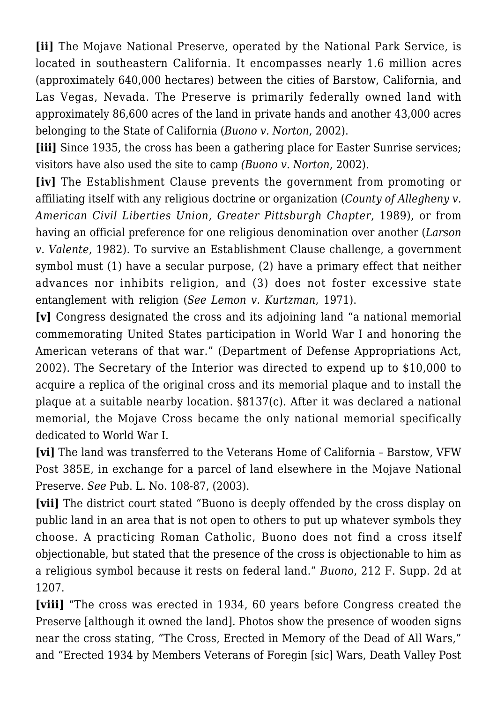**[ii]** The Mojave National Preserve, operated by the National Park Service, is located in southeastern California. It encompasses nearly 1.6 million acres (approximately 640,000 hectares) between the cities of Barstow, California, and Las Vegas, Nevada. The Preserve is primarily federally owned land with approximately 86,600 acres of the land in private hands and another 43,000 acres belonging to the State of California (*Buono v. Norton*, 2002).

**[iii]** Since 1935, the cross has been a gathering place for Easter Sunrise services; visitors have also used the site to camp *(Buono v. Norton*, 2002).

**[iv]** The Establishment Clause prevents the government from promoting or affiliating itself with any religious doctrine or organization (*County of Allegheny v. American Civil Liberties Union, Greater Pittsburgh Chapter*, 1989), or from having an official preference for one religious denomination over another (*Larson v. Valente*, 1982). To survive an Establishment Clause challenge, a government symbol must (1) have a secular purpose, (2) have a primary effect that neither advances nor inhibits religion, and (3) does not foster excessive state entanglement with religion (*See Lemon v. Kurtzman*, 1971).

**[v]** Congress designated the cross and its adjoining land "a national memorial commemorating United States participation in World War I and honoring the American veterans of that war." (Department of Defense Appropriations Act, 2002). The Secretary of the Interior was directed to expend up to \$10,000 to acquire a replica of the original cross and its memorial plaque and to install the plaque at a suitable nearby location. §8137(c). After it was declared a national memorial, the Mojave Cross became the only national memorial specifically dedicated to World War I.

**[vi]** The land was transferred to the Veterans Home of California – Barstow, VFW Post 385E, in exchange for a parcel of land elsewhere in the Mojave National Preserve. *See* Pub. L. No. 108-87, (2003).

**[vii]** The district court stated "Buono is deeply offended by the cross display on public land in an area that is not open to others to put up whatever symbols they choose. A practicing Roman Catholic, Buono does not find a cross itself objectionable, but stated that the presence of the cross is objectionable to him as a religious symbol because it rests on federal land." *Buono*, 212 F. Supp. 2d at 1207.

**[viii]** "The cross was erected in 1934, 60 years before Congress created the Preserve [although it owned the land]. Photos show the presence of wooden signs near the cross stating, "The Cross, Erected in Memory of the Dead of All Wars," and "Erected 1934 by Members Veterans of Foregin [sic] Wars, Death Valley Post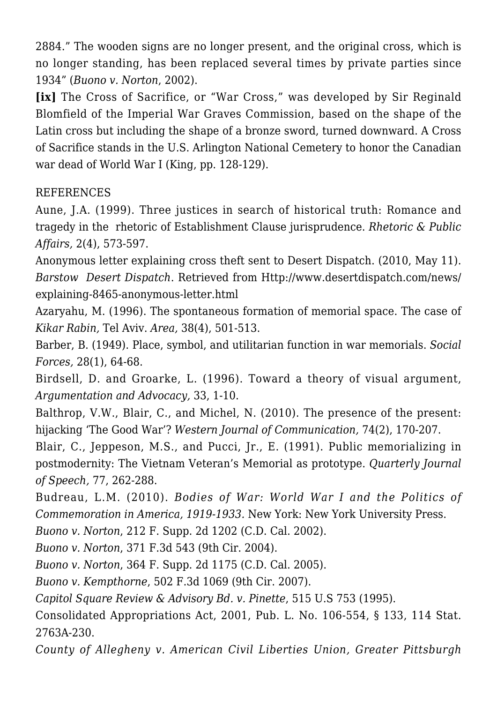2884." The wooden signs are no longer present, and the original cross, which is no longer standing, has been replaced several times by private parties since 1934" (*Buono v. Norton*, 2002).

**[ix]** The Cross of Sacrifice, or "War Cross," was developed by Sir Reginald Blomfield of the Imperial War Graves Commission, based on the shape of the Latin cross but including the shape of a bronze sword, turned downward. A Cross of Sacrifice stands in the U.S. Arlington National Cemetery to honor the Canadian war dead of World War I (King, pp. 128-129).

#### REFERENCES

Aune, J.A. (1999). Three justices in search of historical truth: Romance and tragedy in the rhetoric of Establishment Clause jurisprudence. *Rhetoric & Public Affairs,* 2(4), 573-597.

Anonymous letter explaining cross theft sent to Desert Dispatch. (2010, May 11). *Barstow Desert Dispatch*. Retrieved from Http://www.desertdispatch.com/news/ explaining-8465-anonymous-letter.html

Azaryahu, M. (1996). The spontaneous formation of memorial space. The case of *Kikar Rabin,* Tel Aviv. *Area,* 38(4), 501-513.

Barber, B. (1949). Place, symbol, and utilitarian function in war memorials. *Social Forces,* 28(1), 64-68.

Birdsell, D. and Groarke, L. (1996). Toward a theory of visual argument, *Argumentation and Advocacy,* 33, 1-10.

Balthrop, V.W., Blair, C., and Michel, N. (2010). The presence of the present: hijacking 'The Good War'? *Western Journal of Communication,* 74(2), 170-207.

Blair, C., Jeppeson, M.S., and Pucci, Jr., E. (1991). Public memorializing in postmodernity: The Vietnam Veteran's Memorial as prototype. *Quarterly Journal of Speech,* 77, 262-288.

Budreau, L.M. (2010). *Bodies of War: World War I and the Politics of Commemoration in America, 1919-1933.* New York: New York University Press.

*Buono v. Norton*, 212 F. Supp. 2d 1202 (C.D. Cal. 2002).

*Buono v. Norton*, 371 F.3d 543 (9th Cir. 2004).

*Buono v. Norton*, 364 F. Supp. 2d 1175 (C.D. Cal. 2005).

*Buono v. Kempthorne*, 502 F.3d 1069 (9th Cir. 2007).

*Capitol Square Review & Advisory Bd. v. Pinette*, 515 U.S 753 (1995).

Consolidated Appropriations Act, 2001, Pub. L. No. 106-554, § 133, 114 Stat. 2763A-230.

*County of Allegheny v. American Civil Liberties Union, Greater Pittsburgh*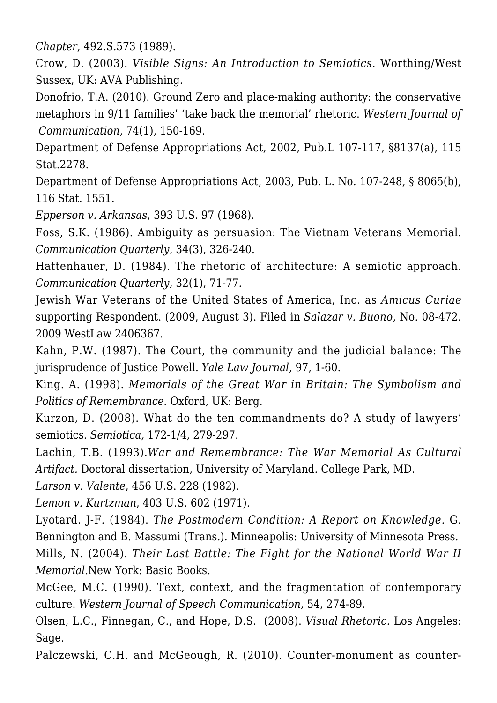*Chapter*, 492.S.573 (1989).

Crow, D. (2003). *Visible Signs: An Introduction to Semiotics*. Worthing/West Sussex, UK: AVA Publishing.

Donofrio, T.A. (2010). Ground Zero and place-making authority: the conservative metaphors in 9/11 families' 'take back the memorial' rhetoric. *Western Journal of Communication*, 74(1), 150-169.

Department of Defense Appropriations Act, 2002, Pub.L 107-117, §8137(a), 115 Stat.2278.

Department of Defense Appropriations Act, 2003, Pub. L. No. 107-248, § 8065(b), 116 Stat. 1551.

*Epperson v. Arkansas*, 393 U.S. 97 (1968).

Foss, S.K. (1986). Ambiguity as persuasion: The Vietnam Veterans Memorial. *Communication Quarterly,* 34(3), 326-240.

Hattenhauer, D. (1984). The rhetoric of architecture: A semiotic approach. *Communication Quarterly,* 32(1), 71-77.

Jewish War Veterans of the United States of America, Inc. as *Amicus Curiae* supporting Respondent. (2009, August 3). Filed in *Salazar v. Buono*, No. 08-472. 2009 WestLaw 2406367.

Kahn, P.W. (1987). The Court, the community and the judicial balance: The jurisprudence of Justice Powell. *Yale Law Journal,* 97, 1-60.

King. A. (1998). *Memorials of the Great War in Britain: The Symbolism and Politics of Remembrance.* Oxford, UK: Berg.

Kurzon, D. (2008). What do the ten commandments do? A study of lawyers' semiotics. *Semiotica,* 172-1/4, 279-297.

Lachin, T.B. (1993).*War and Remembrance: The War Memorial As Cultural Artifact.* Doctoral dissertation, University of Maryland. College Park, MD.

*Larson v. Valente*, 456 U.S. 228 (1982).

*Lemon v. Kurtzman*, 403 U.S. 602 (1971).

Lyotard. J-F. (1984). *The Postmodern Condition: A Report on Knowledge*. G. Bennington and B. Massumi (Trans.). Minneapolis: University of Minnesota Press.

Mills, N. (2004). *Their Last Battle: The Fight for the National World War II Memorial*.New York: Basic Books.

McGee, M.C. (1990). Text, context, and the fragmentation of contemporary culture. *Western Journal of Speech Communication,* 54, 274-89.

Olsen, L.C., Finnegan, C., and Hope, D.S. (2008). *Visual Rhetoric.* Los Angeles: Sage.

Palczewski, C.H. and McGeough, R. (2010). Counter-monument as counter-